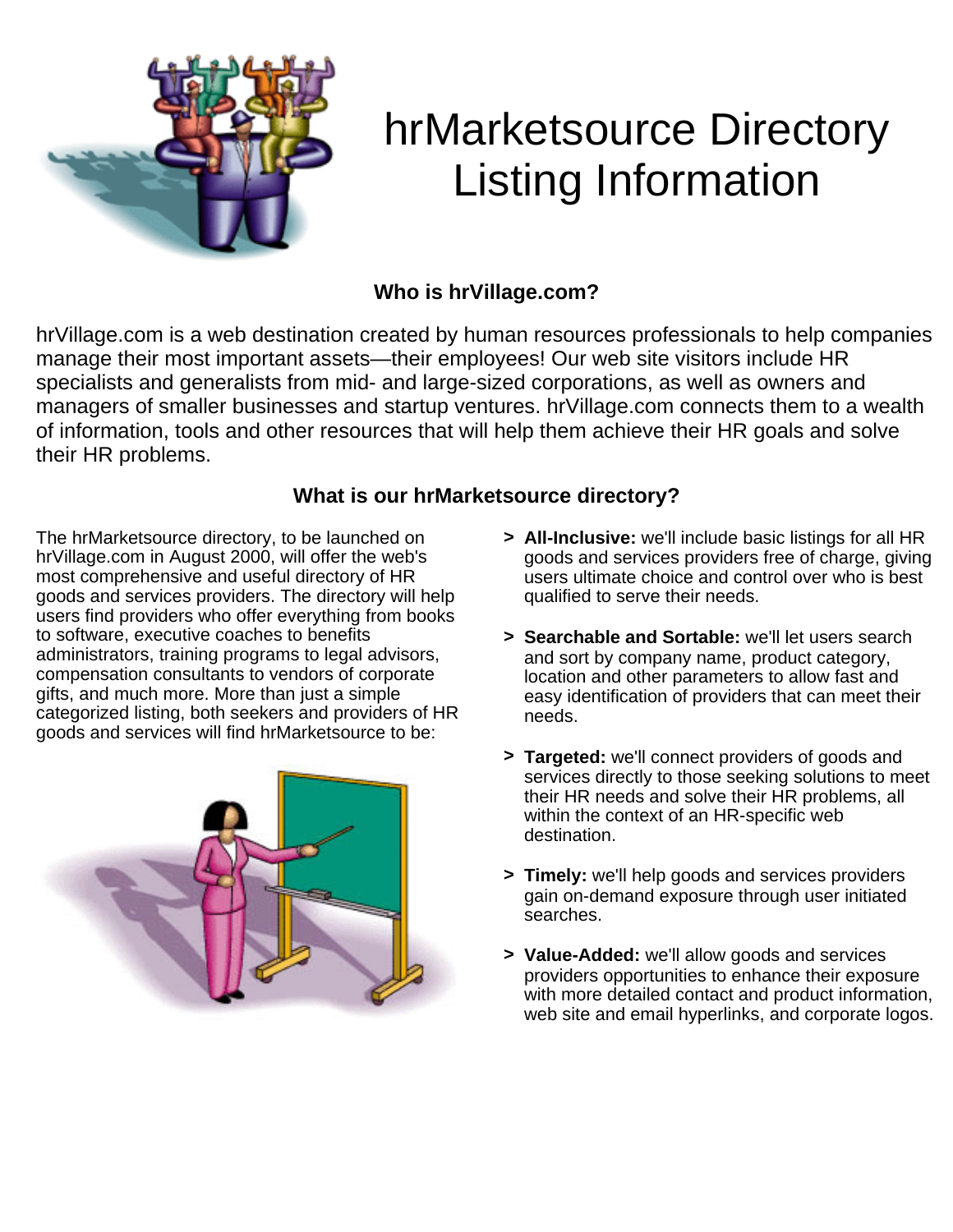

# hrMarketsource Directory Listing Information

## **Who is hrVillage.com?**

hrVillage.com is a web destination created by human resources professionals to help companies manage their most important assets—their employees! Our web site visitors include HR specialists and generalists from mid- and large-sized corporations, as well as owners and managers of smaller businesses and startup ventures. hrVillage.com connects them to a wealth of information, tools and other resources that will help them achieve their HR goals and solve their HR problems.

### **What is our hrMarketsource directory?**

The hrMarketsource directory, to be launched on hrVillage.com in August 2000, will offer the web's most comprehensive and useful directory of HR goods and services providers. The directory will help users find providers who offer everything from books to software, executive coaches to benefits administrators, training programs to legal advisors, compensation consultants to vendors of corporate gifts, and much more. More than just a simple categorized listing, both seekers and providers of HR goods and services will find hrMarketsource to be:



- **> All-Inclusive:** we'll include basic listings for all HR goods and services providers free of charge, giving users ultimate choice and control over who is best qualified to serve their needs.
- **> Searchable and Sortable:** we'll let users search and sort by company name, product category, location and other parameters to allow fast and easy identification of providers that can meet their needs.
- **> Targeted:** we'll connect providers of goods and services directly to those seeking solutions to meet their HR needs and solve their HR problems, all within the context of an HR-specific web destination.
- **> Timely:** we'll help goods and services providers gain on-demand exposure through user initiated searches.
- **> Value-Added:** we'll allow goods and services providers opportunities to enhance their exposure with more detailed contact and product information, web site and email hyperlinks, and corporate logos.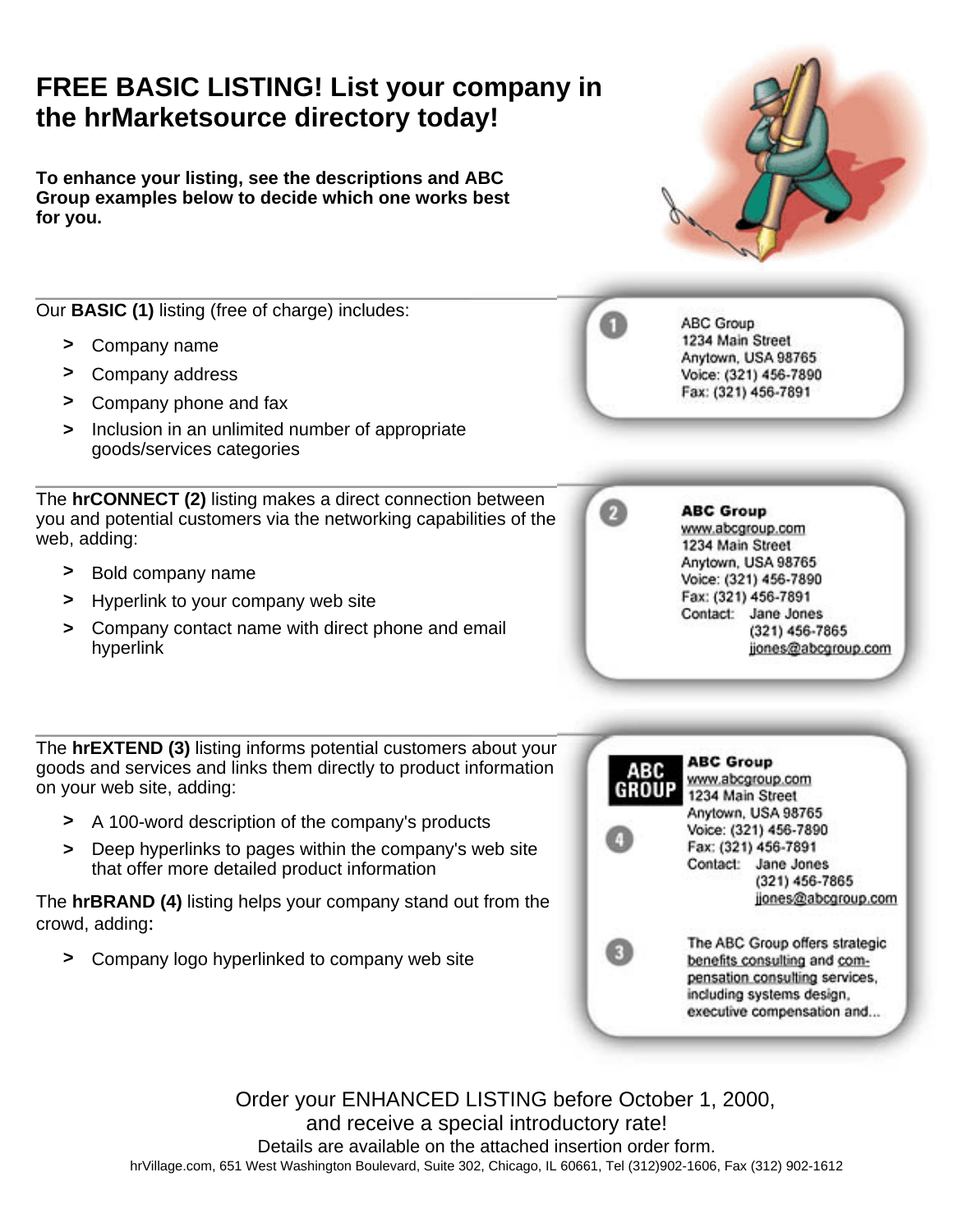# **FREE BASIC LISTING! List your company in the hrMarketsource directory today!**

**To enhance your listing, see the descriptions and ABC Group examples below to decide which one works best for you.**

Our **BASIC (1)** listing (free of charge) includes:

- **>** Company name
- **>** Company address
- **>** Company phone and fax
- **>** Inclusion in an unlimited number of appropriate goods/services categories

The **hrCONNECT (2)** listing makes a direct connection between you and potential customers via the networking capabilities of the web, adding:

- **>** Bold company name
- **>** Hyperlink to your company web site
- **>** Company contact name with direct phone and email hyperlink

The **hrEXTEND (3)** listing informs potential customers about your goods and services and links them directly to product information on your web site, adding:

- **>** A 100-word description of the company's products
- **>** Deep hyperlinks to pages within the company's web site that offer more detailed product information

The **hrBRAND (4)** listing helps your company stand out from the crowd, adding:

**>** Company logo hyperlinked to company web site



ABC Group 1234 Main Street Anytown, USA 98765 Voice: (321) 456-7890 Fax: (321) 456-7891

### **ABC Group**

www.abcgroup.com 1234 Main Street Anytown, USA 98765 Voice: (321) 456-7890 Fax: (321) 456-7891 Contact: Jane Jones  $(321)$  456-7865 jjones@abcgroup.com



Order your ENHANCED LISTING before October 1, 2000, and receive a special introductory rate! Details are available on the attached insertion order form. hrVillage.com, 651 West Washington Boulevard, Suite 302, Chicago, IL 60661, Tel (312)902-1606, Fax (312) 902-1612

# Ø

61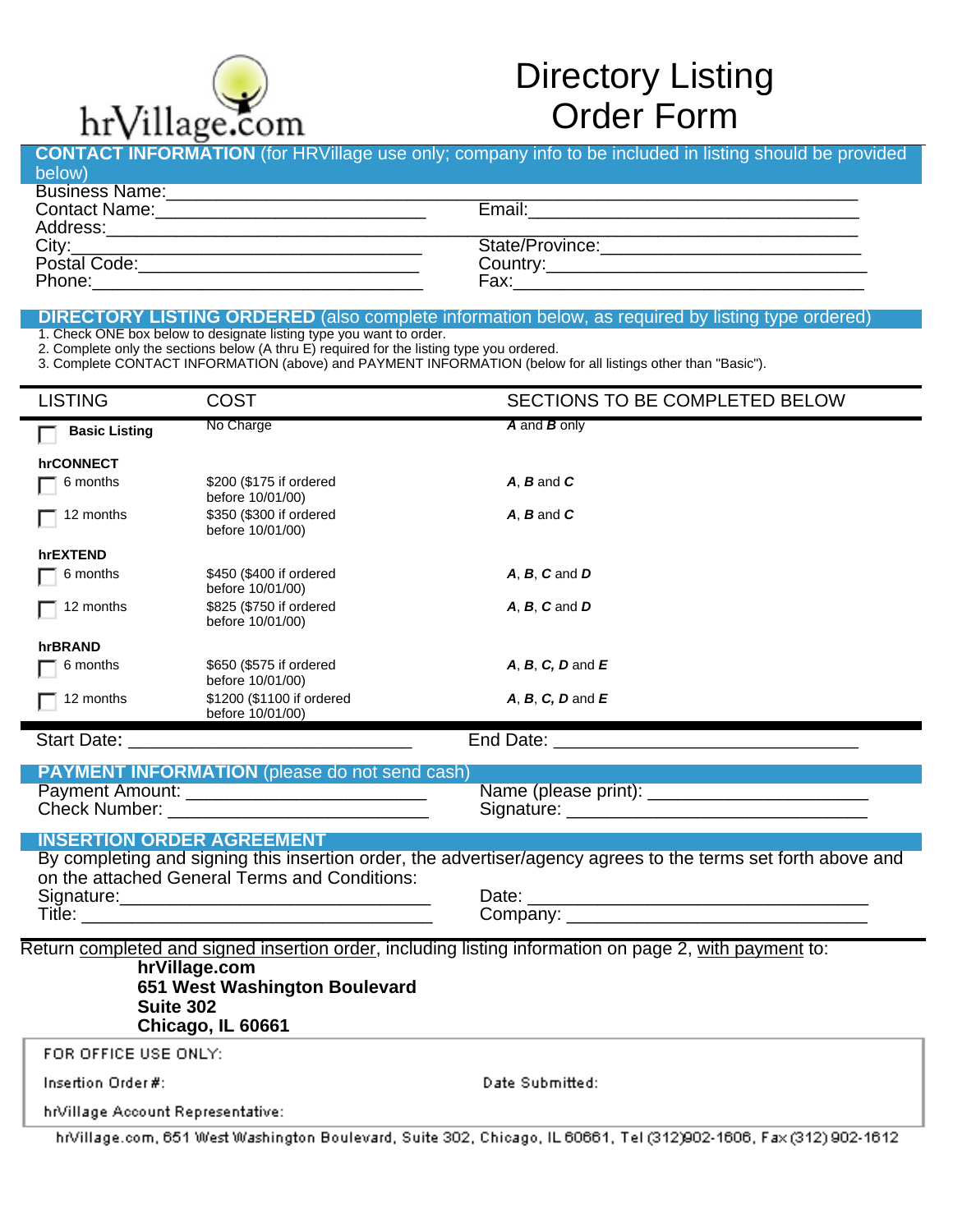

# Directory Listing Order Form

| Business Name: <u>Communication and Communications</u> |  |
|--------------------------------------------------------|--|
|                                                        |  |
|                                                        |  |
|                                                        |  |
|                                                        |  |
|                                                        |  |

1. Check ONE box below to designate listing type you want to order.

1. Check ONE box below to designate listing type you want to order. 2. Complete only the sections below (A thru E) required for the listing type you ordered.

3. Complete CONTACT INFORMATION (above) and PAYMENT INFORMATION (below for all listings other than "Basic").

| <b>LISTING</b>                                                                                                    | <b>COST</b>                                                                                                                                                                                                                   | SECTIONS TO BE COMPLETED BELOW |  |  |
|-------------------------------------------------------------------------------------------------------------------|-------------------------------------------------------------------------------------------------------------------------------------------------------------------------------------------------------------------------------|--------------------------------|--|--|
| <b>Basic Listing</b>                                                                                              | No Charge                                                                                                                                                                                                                     | A and B only                   |  |  |
| hrCONNECT                                                                                                         |                                                                                                                                                                                                                               |                                |  |  |
| 6 months                                                                                                          | \$200 (\$175 if ordered<br>before 10/01/00)                                                                                                                                                                                   | $A$ , $B$ and $C$              |  |  |
| 12 months                                                                                                         | \$350 (\$300 if ordered<br>before 10/01/00)                                                                                                                                                                                   | $A. B$ and $C$                 |  |  |
| hrEXTEND                                                                                                          |                                                                                                                                                                                                                               |                                |  |  |
| 6 months                                                                                                          | \$450 (\$400 if ordered<br>before 10/01/00)                                                                                                                                                                                   | $A, B, C$ and $D$              |  |  |
| 12 months                                                                                                         | \$825 (\$750 if ordered<br>before 10/01/00)                                                                                                                                                                                   | $A, B, C$ and $D$              |  |  |
| hrBRAND                                                                                                           |                                                                                                                                                                                                                               |                                |  |  |
| 6 months                                                                                                          | \$650 (\$575 if ordered<br>before 10/01/00)                                                                                                                                                                                   | $A, B, C, D$ and $E$           |  |  |
| 12 months                                                                                                         | \$1200 (\$1100 if ordered<br>before 10/01/00)                                                                                                                                                                                 | $A, B, C, D$ and $E$           |  |  |
|                                                                                                                   |                                                                                                                                                                                                                               |                                |  |  |
|                                                                                                                   | <b>PAYMENT INFORMATION</b> (please do not send cash)                                                                                                                                                                          |                                |  |  |
|                                                                                                                   | Payment Amount: ___________________________                                                                                                                                                                                   |                                |  |  |
|                                                                                                                   | Check Number: We have a state of the contract of the contract of the contract of the contract of the contract of the contract of the contract of the contract of the contract of the contract of the contract of the contract |                                |  |  |
|                                                                                                                   | <b>INSERTION ORDER AGREEMENT</b>                                                                                                                                                                                              |                                |  |  |
| By completing and signing this insertion order, the advertiser/agency agrees to the terms set forth above and     |                                                                                                                                                                                                                               |                                |  |  |
| on the attached General Terms and Conditions:                                                                     |                                                                                                                                                                                                                               |                                |  |  |
|                                                                                                                   |                                                                                                                                                                                                                               |                                |  |  |
|                                                                                                                   |                                                                                                                                                                                                                               |                                |  |  |
| Return completed and signed insertion order, including listing information on page 2, with payment to:            |                                                                                                                                                                                                                               |                                |  |  |
| hrVillage.com                                                                                                     |                                                                                                                                                                                                                               |                                |  |  |
| 651 West Washington Boulevard<br><b>Suite 302</b>                                                                 |                                                                                                                                                                                                                               |                                |  |  |
|                                                                                                                   | Chicago, IL 60661                                                                                                                                                                                                             |                                |  |  |
| FOR OFFICE USE ONLY:                                                                                              |                                                                                                                                                                                                                               |                                |  |  |
|                                                                                                                   |                                                                                                                                                                                                                               |                                |  |  |
| Insertion Order #:                                                                                                |                                                                                                                                                                                                                               | Date Submitted:                |  |  |
| hrVillage Account Representative:                                                                                 |                                                                                                                                                                                                                               |                                |  |  |
| hrVillage.com, 651 West Washington Boulevard, Suite 302, Chicago, IL 60661, Tel (312)902-1606, Fax (312) 902-1612 |                                                                                                                                                                                                                               |                                |  |  |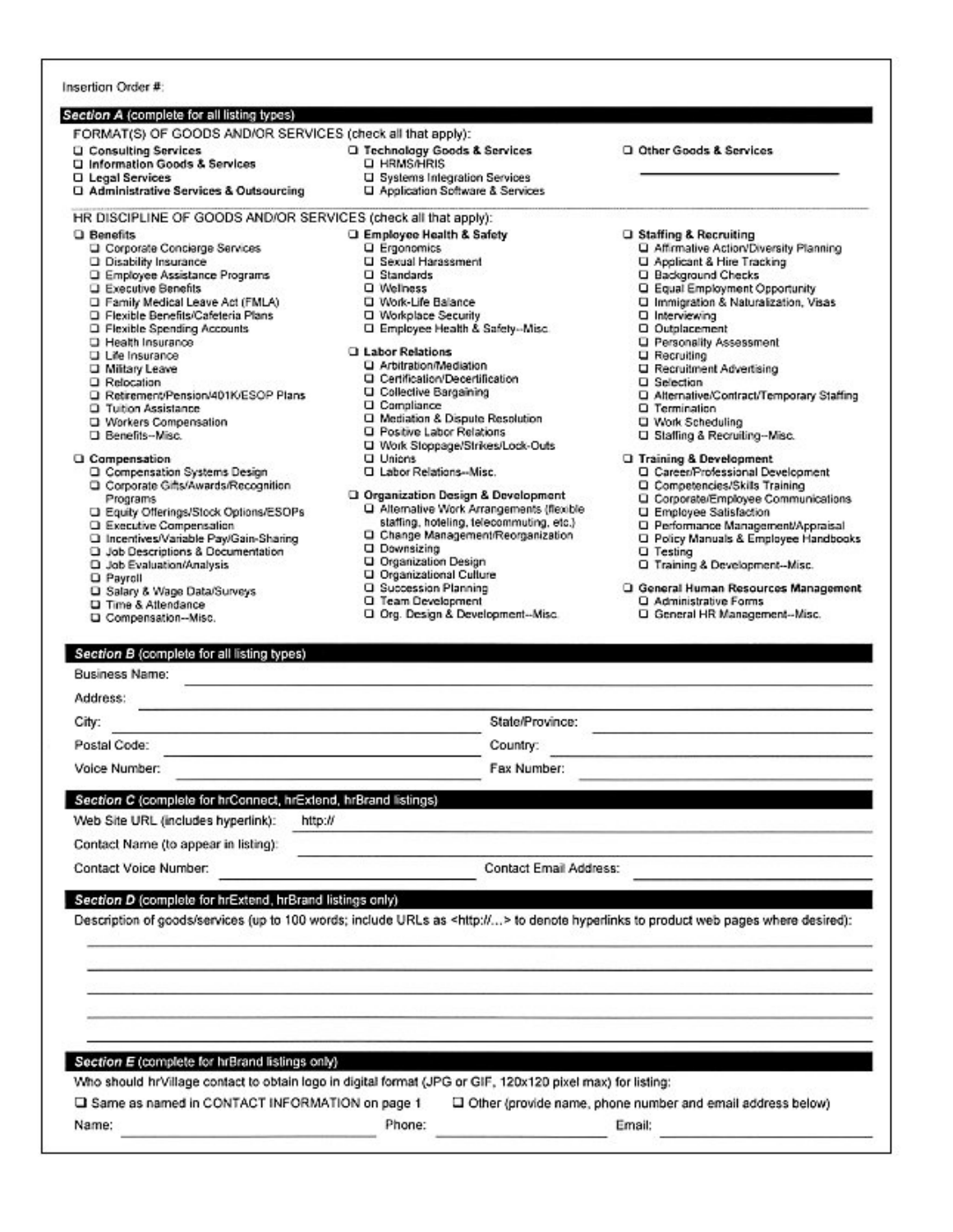### Section A (complete for all listing types)

### FORMAT(S) OF GOODS AND/OR SERVICES (check all that apply):

- **Q** Consulting Services
- U Information Goods & Services
- **Q** Legal Services
- □ Administrative Services & Outsourcing
- Q Technology Goods & Services
- **Q HRMS/HRIS**
- U Systems Integration Services
- LI Application Software & Services
- HR DISCIPLINE OF GOODS AND/OR SERVICES (check all that apply):
- Q Benefits
	- Corporate Concierge Services
	- D Disability Insurance
	- Q Employee Assistance Programs
	- **Q** Executive Benefits
	- Family Medical Leave Act (FMLA)
	- □ Flexible Benefits/Cafeteria Plans
	- **Q** Flexible Spending Accounts
	- Health Insurance
	-
	- Life Insurance
	- **D** Military Leave
	- Q Relocation
	- □ Retirement/Pension/401K/ESOP Plans
	- **Q** Tuition Assistance
	- U Workers Compensation
	- D Benefits-Misc.

#### Q Compensation

- Q Compensation Systems Design
- Q Corporate Gifts/Awards/Recognition
- Programs D Equity Offerings/Stock Options/ESOPs
- Q Executive Compensation
- 
- □ Incentives/Variable Pay/Gain-Sharing
- Q Job Descriptions & Documentation
- Q Job Evaluation/Analysis
- **Q** Payroll
- Q Salary & Wage Data/Surveys
- La Time & Attendance
- Q Compensation--Misc.
- U Sexual Harassment  $\square$  Standards Q Welhess
- U Work-Life Balance

Q Ergonomics

□ Workplace Security

**Q Employee Health & Safety** 

- □ Employee Health & Safety-Misc.
- **Q** Labor Relations
	- Q Arbitration/Mediation
	- Certification/Decertification
	- U Collective Bargaining
	- **U** Compliance
	- Q Mediation & Dispute Resolution
	- Q Positive Labor Relations
	- U Work Stoppage/Strikes/Lock-Outs
	- **Q** Unions
	- C Labor Relations--Misc.
- Q Organization Design & Development D Alternative Work Arrangements (flexible
	- staffing, hoteling, telecommuting, etc.) α Change Management/Reorganization
	- **Q** Downsizing
	- **Q** Organization Design
	- U Organizational Culture
	- Q Succession Planning
	- Q Team Development
	- Q Org. Design & Development--Misc.
- Q Other Goods & Services
- Q Staffing & Recruiting
- Q Affirmative Action/Diversity Planning
- U Applicant & Hire Tracking
- Q Background Checks
- Q Equal Employment Opportunity
- U Immigration & Naturalization, Visas
- Q Interviewing
- Q Outplacement
- **Q** Personality Assessment
- **Q** Recruiting
- □ Recruitment Advertising
- Q Selection
- Q Alternative/Contract/Temporary Staffing
- Q Termination
- Work Scheduling
- U Staffing & Recruiting-Misc.
- **Q** Training & Development
	- Q CareenProfessional Development
	- Q Competencies/Skills Training
	- Q Corporate/Employee Communications
	- **U** Employee Satisfaction
	- D Performance Management/Appraisal
	- Q Policy Manuals & Employee Handbooks
	- **Q** Testing
	- Q Training & Development--Misc.
- Q General Human Resources Management Q Administrative Forms
	- Q General HR Management-Misc.

#### Section B (complete for all listing types)

| <b>Business Name:</b>                                          |                                                                                                                                           |  |
|----------------------------------------------------------------|-------------------------------------------------------------------------------------------------------------------------------------------|--|
| Address:                                                       |                                                                                                                                           |  |
| City:                                                          | State/Province:                                                                                                                           |  |
| Postal Code:                                                   | Country:                                                                                                                                  |  |
| Voice Number:                                                  | Fax Number:                                                                                                                               |  |
| Section C (complete for hrConnect, hrExtend, hrBrand listings) |                                                                                                                                           |  |
| Web Site URL (includes hyperlink):<br>http://                  |                                                                                                                                           |  |
| Contact Name (to appear in listing):                           |                                                                                                                                           |  |
| Contact Voice Number:                                          | Contact Email Address:                                                                                                                    |  |
| Section D (complete for hrExtend, hrBrand listings only)       |                                                                                                                                           |  |
|                                                                | Description of goods/services (up to 100 words; include URLs as <http:></http:> to denote hyperlinks to product web pages where desired): |  |
|                                                                |                                                                                                                                           |  |
|                                                                |                                                                                                                                           |  |
|                                                                |                                                                                                                                           |  |
|                                                                |                                                                                                                                           |  |
|                                                                |                                                                                                                                           |  |
| Section E (complete for hrBrand listings only)                 |                                                                                                                                           |  |

Who should hrVillage contact to obtain logo in digital format (JPG or GIF, 120x120 pixel max) for listing:

Q Same as named in CONTACT INFORMATION on page 1

Phone:

Name:

U Other (provide name, phone number and email address below)

Email: